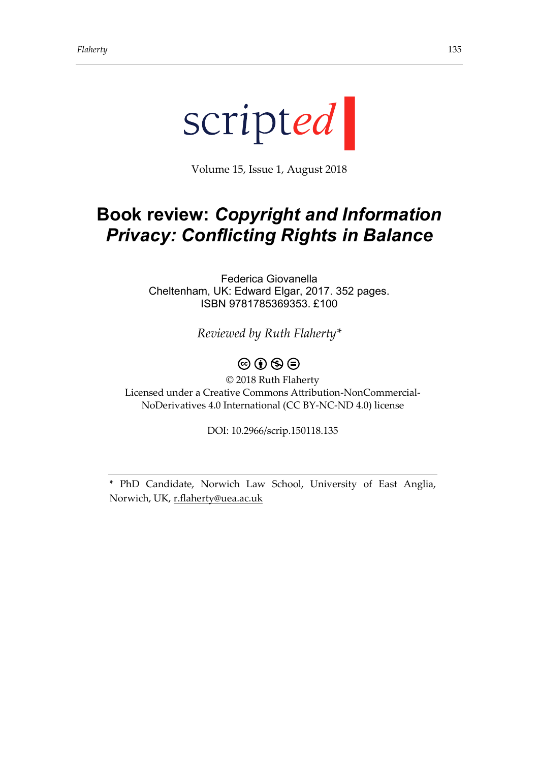

Volume 15, Issue 1, August 2018

## **Book review:** *Copyright and Information Privacy: Conflicting Rights in Balance*

Federica Giovanella Cheltenham, UK: Edward Elgar, 2017. 352 pages. ISBN 9781785369353. £100

*Reviewed by Ruth Flaherty\**

## $\circledcirc$   $\circledcirc$   $\circledcirc$

© 2018 Ruth Flaherty Licensed under a Creative Commons Attribution-NonCommercial-NoDerivatives 4.0 International (CC BY-NC-ND 4.0) license

DOI: 10.2966/scrip.150118.135

\* PhD Candidate, Norwich Law School, University of East Anglia, Norwich, UK[, r.flaherty@uea.ac.uk](mailto:r.flaherty@uea.ac.uk)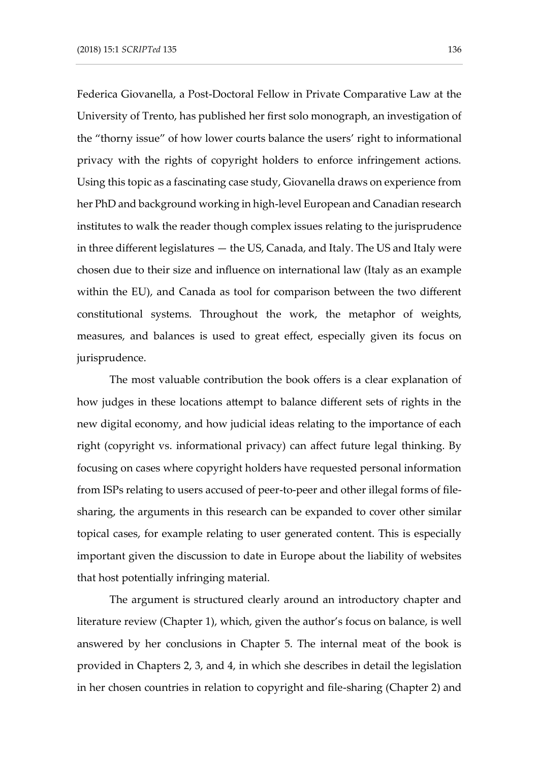Federica Giovanella, a Post-Doctoral Fellow in Private Comparative Law at the University of Trento, has published her first solo monograph, an investigation of the "thorny issue" of how lower courts balance the users' right to informational privacy with the rights of copyright holders to enforce infringement actions. Using this topic as a fascinating case study, Giovanella draws on experience from her PhD and background working in high-level European and Canadian research institutes to walk the reader though complex issues relating to the jurisprudence in three different legislatures — the US, Canada, and Italy. The US and Italy were chosen due to their size and influence on international law (Italy as an example within the EU), and Canada as tool for comparison between the two different constitutional systems. Throughout the work, the metaphor of weights, measures, and balances is used to great effect, especially given its focus on jurisprudence.

The most valuable contribution the book offers is a clear explanation of how judges in these locations attempt to balance different sets of rights in the new digital economy, and how judicial ideas relating to the importance of each right (copyright vs. informational privacy) can affect future legal thinking. By focusing on cases where copyright holders have requested personal information from ISPs relating to users accused of peer-to-peer and other illegal forms of filesharing, the arguments in this research can be expanded to cover other similar topical cases, for example relating to user generated content. This is especially important given the discussion to date in Europe about the liability of websites that host potentially infringing material.

The argument is structured clearly around an introductory chapter and literature review (Chapter 1), which, given the author's focus on balance, is well answered by her conclusions in Chapter 5. The internal meat of the book is provided in Chapters 2, 3, and 4, in which she describes in detail the legislation in her chosen countries in relation to copyright and file-sharing (Chapter 2) and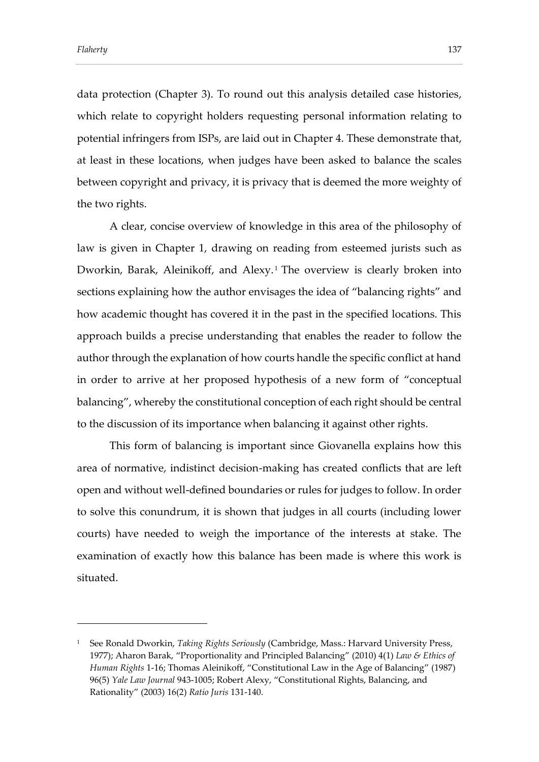-

data protection (Chapter 3). To round out this analysis detailed case histories, which relate to copyright holders requesting personal information relating to potential infringers from ISPs, are laid out in Chapter 4. These demonstrate that, at least in these locations, when judges have been asked to balance the scales between copyright and privacy, it is privacy that is deemed the more weighty of the two rights.

A clear, concise overview of knowledge in this area of the philosophy of law is given in Chapter 1, drawing on reading from esteemed jurists such as Dworkin, Barak, Aleinikoff, and Alexy. 1 The overview is clearly broken into sections explaining how the author envisages the idea of "balancing rights" and how academic thought has covered it in the past in the specified locations. This approach builds a precise understanding that enables the reader to follow the author through the explanation of how courts handle the specific conflict at hand in order to arrive at her proposed hypothesis of a new form of "conceptual balancing", whereby the constitutional conception of each right should be central to the discussion of its importance when balancing it against other rights.

This form of balancing is important since Giovanella explains how this area of normative, indistinct decision-making has created conflicts that are left open and without well-defined boundaries or rules for judges to follow. In order to solve this conundrum, it is shown that judges in all courts (including lower courts) have needed to weigh the importance of the interests at stake. The examination of exactly how this balance has been made is where this work is situated.

<sup>1</sup> See Ronald Dworkin, *Taking Rights Seriously* (Cambridge, Mass.: Harvard University Press, 1977); Aharon Barak, "Proportionality and Principled Balancing" (2010) 4(1) *Law & Ethics of Human Rights* 1-16; Thomas Aleinikoff, "Constitutional Law in the Age of Balancing" (1987) 96(5) *Yale Law Journal* 943-1005; Robert Alexy, "Constitutional Rights, Balancing, and Rationality" (2003) 16(2) *Ratio Juris* 131-140.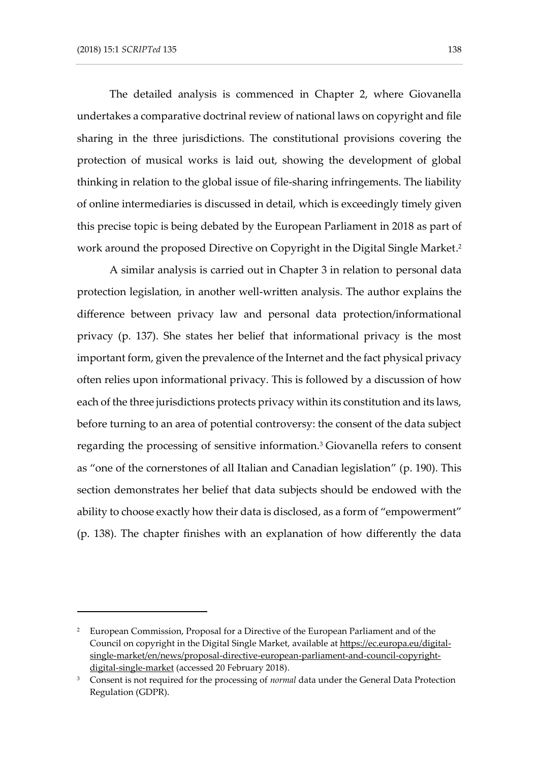-

The detailed analysis is commenced in Chapter 2, where Giovanella undertakes a comparative doctrinal review of national laws on copyright and file sharing in the three jurisdictions. The constitutional provisions covering the protection of musical works is laid out, showing the development of global thinking in relation to the global issue of file-sharing infringements. The liability of online intermediaries is discussed in detail, which is exceedingly timely given this precise topic is being debated by the European Parliament in 2018 as part of work around the proposed Directive on Copyright in the Digital Single Market. 2

A similar analysis is carried out in Chapter 3 in relation to personal data protection legislation, in another well-written analysis. The author explains the difference between privacy law and personal data protection/informational privacy (p. 137). She states her belief that informational privacy is the most important form, given the prevalence of the Internet and the fact physical privacy often relies upon informational privacy. This is followed by a discussion of how each of the three jurisdictions protects privacy within its constitution and its laws, before turning to an area of potential controversy: the consent of the data subject regarding the processing of sensitive information.<sup>3</sup> Giovanella refers to consent as "one of the cornerstones of all Italian and Canadian legislation" (p. 190). This section demonstrates her belief that data subjects should be endowed with the ability to choose exactly how their data is disclosed, as a form of "empowerment" (p. 138). The chapter finishes with an explanation of how differently the data

<sup>2</sup> European Commission, Proposal for a Directive of the European Parliament and of the Council on copyright in the Digital Single Market, available at [https://ec.europa.eu/digital](https://ec.europa.eu/digital-single-market/en/news/proposal-directive-european-parliament-and-council-copyright-digital-single-market)[single-market/en/news/proposal-directive-european-parliament-and-council-copyright](https://ec.europa.eu/digital-single-market/en/news/proposal-directive-european-parliament-and-council-copyright-digital-single-market)[digital-single-market](https://ec.europa.eu/digital-single-market/en/news/proposal-directive-european-parliament-and-council-copyright-digital-single-market) (accessed 20 February 2018).

<sup>3</sup> Consent is not required for the processing of *normal* data under the General Data Protection Regulation (GDPR).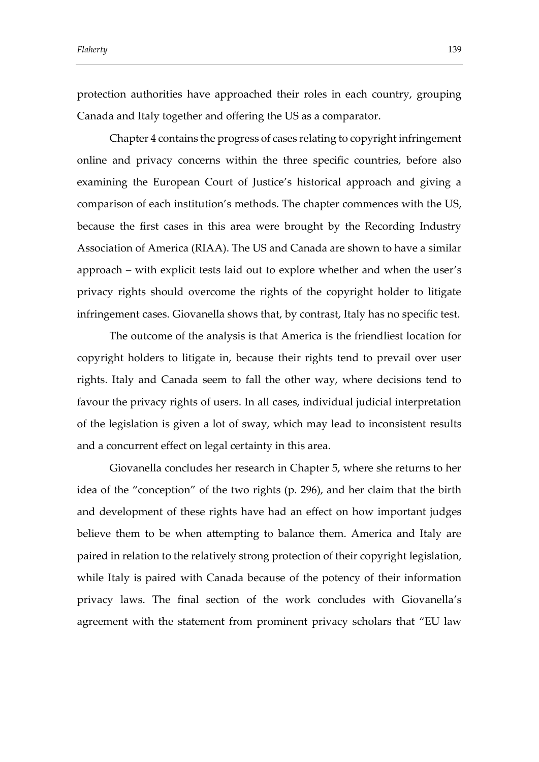*Flaherty* 139

protection authorities have approached their roles in each country, grouping Canada and Italy together and offering the US as a comparator.

Chapter 4 contains the progress of cases relating to copyright infringement online and privacy concerns within the three specific countries, before also examining the European Court of Justice's historical approach and giving a comparison of each institution's methods. The chapter commences with the US, because the first cases in this area were brought by the Recording Industry Association of America (RIAA). The US and Canada are shown to have a similar approach – with explicit tests laid out to explore whether and when the user's privacy rights should overcome the rights of the copyright holder to litigate infringement cases. Giovanella shows that, by contrast, Italy has no specific test.

The outcome of the analysis is that America is the friendliest location for copyright holders to litigate in, because their rights tend to prevail over user rights. Italy and Canada seem to fall the other way, where decisions tend to favour the privacy rights of users. In all cases, individual judicial interpretation of the legislation is given a lot of sway, which may lead to inconsistent results and a concurrent effect on legal certainty in this area.

Giovanella concludes her research in Chapter 5, where she returns to her idea of the "conception" of the two rights (p. 296), and her claim that the birth and development of these rights have had an effect on how important judges believe them to be when attempting to balance them. America and Italy are paired in relation to the relatively strong protection of their copyright legislation, while Italy is paired with Canada because of the potency of their information privacy laws. The final section of the work concludes with Giovanella's agreement with the statement from prominent privacy scholars that "EU law